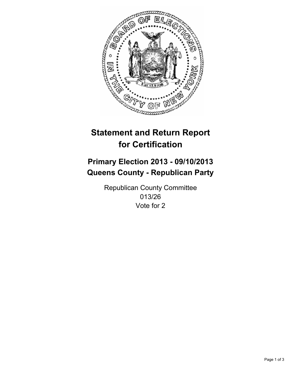

# **Statement and Return Report for Certification**

# **Primary Election 2013 - 09/10/2013 Queens County - Republican Party**

Republican County Committee 013/26 Vote for 2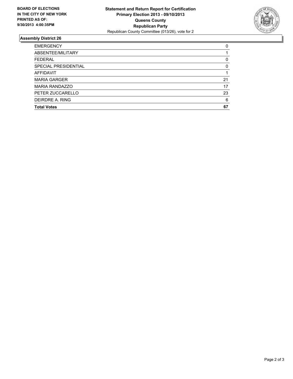

## **Assembly District 26**

| <b>EMERGENCY</b>      | 0  |
|-----------------------|----|
| ABSENTEE/MILITARY     |    |
| <b>FEDERAL</b>        | 0  |
| SPECIAL PRESIDENTIAL  | 0  |
| <b>AFFIDAVIT</b>      |    |
| <b>MARIA GARGER</b>   | 21 |
| <b>MARIA RANDAZZO</b> | 17 |
| PETER ZUCCARELLO      | 23 |
| DEIRDRE A. RING       | 6  |
| <b>Total Votes</b>    | 67 |